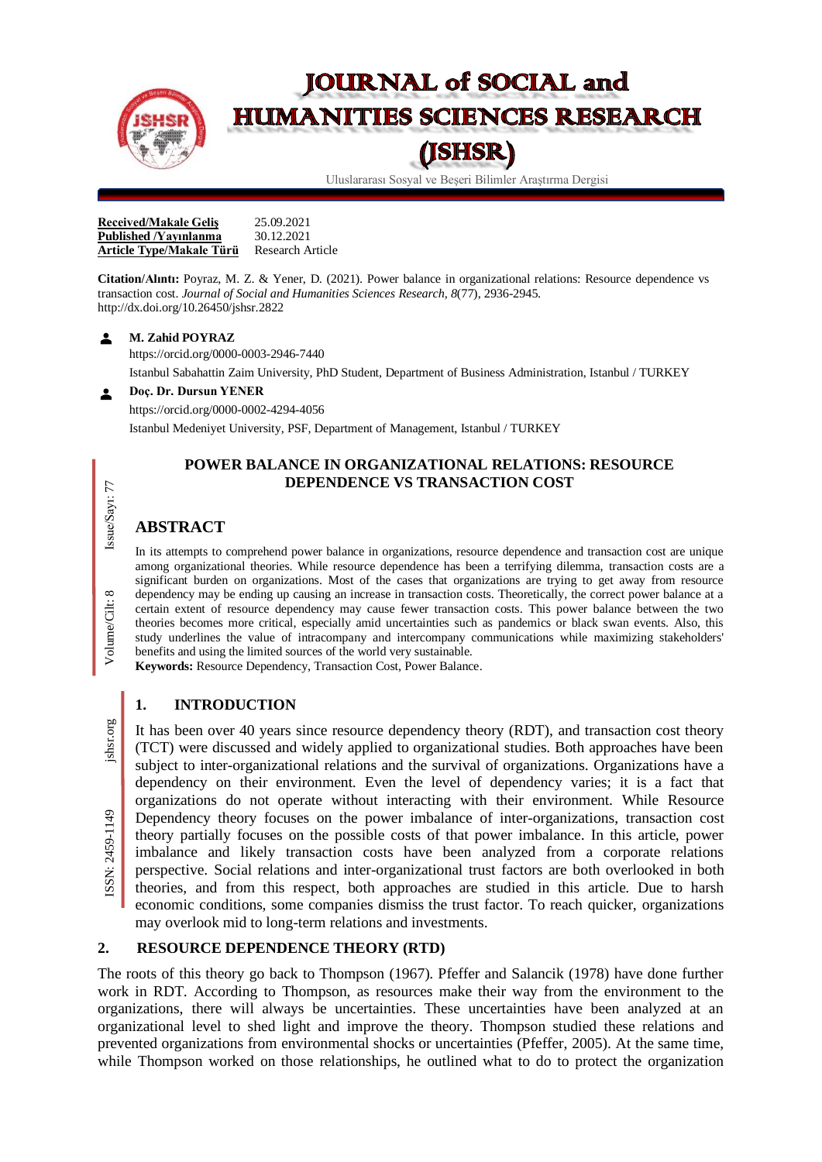

# **JOURNAL of SOCIAL and HUMANITIES SCIENCES RESEARCH**

# (JSHSR)

Uluslararası Sosyal ve Beşeri Bilimler Araştırma Dergisi

**Received/Makale Gelis** 25.09.2021<br>**Published /Yavinlanma** 30.12.2021 **Published** *Yayınlanma* **Article Type/Makale Türü** Research Article

**Citation/Alıntı:** Poyraz, M. Z. & Yener, D. (2021). Power balance in organizational relations: Resource dependence vs transaction cost. *Journal of Social and Humanities Sciences Research, 8*(77), 2936-2945. http://dx.doi.org/10.26450/jshsr.2822

#### $\blacktriangle$ **M. Zahid POYRAZ**

<https://orcid.org/0000-0003-2946-7440> Istanbul Sabahattin Zaim University, PhD Student, Department of Business Administration, Istanbul / TURKEY

**Doç. Dr. Dursun YENER**  $\blacktriangle$ 

<https://orcid.org/0000-0002-4294-4056>

Istanbul Medeniyet University, PSF, Department of Management, Istanbul / TURKEY

# **POWER BALANCE IN ORGANIZATIONAL RELATIONS: RESOURCE DEPENDENCE VS TRANSACTION COST**

# **ABSTRACT**

In its attempts to comprehend power balance in organizations, resource dependence and transaction cost are unique among organizational theories. While resource dependence has been a terrifying dilemma, transaction costs are a significant burden on organizations. Most of the cases that organizations are trying to get away from resource dependency may be ending up causing an increase in transaction costs. Theoretically, the correct power balance at a certain extent of resource dependency may cause fewer transaction costs. This power balance between the two theories becomes more critical, especially amid uncertainties such as pandemics or black swan events. Also, this study underlines the value of intracompany and intercompany communications while maximizing stakeholders' benefits and using the limited sources of the world very sustainable.

**Keywords:** Resource Dependency, Transaction Cost, Power Balance.

# **1. INTRODUCTION**

It has been over 40 years since resource dependency theory (RDT), and transaction cost theory (TCT) were discussed and widely applied to organizational studies. Both approaches have been subject to inter-organizational relations and the survival of organizations. Organizations have a dependency on their environment. Even the level of dependency varies; it is a fact that organizations do not operate without interacting with their environment. While Resource Dependency theory focuses on the power imbalance of inter-organizations, transaction cost theory partially focuses on the possible costs of that power imbalance. In this article, power imbalance and likely transaction costs have been analyzed from a corporate relations perspective. Social relations and inter-organizational trust factors are both overlooked in both theories, and from this respect, both approaches are studied in this article. Due to harsh economic conditions, some companies dismiss the trust factor. To reach quicker, organizations may overlook mid to long-term relations and investments. Example to the relationships when the set of the set of the set of the set of the set of the set of the set of the set of the control on the set of the set of the control on the set of the control on the set of the control

# **2. RESOURCE DEPENDENCE THEORY (RTD)**

The roots of this theory go back to Thompson (1967). Pfeffer and Salancik (1978) have done further work in RDT. According to Thompson, as resources make their way from the environment to the organizations, there will always be uncertainties. These uncertainties have been analyzed at an organizational level to shed light and improve the theory. Thompson studied these relations and prevented organizations from environmental shocks or uncertainties (Pfeffer, 2005). At the same time,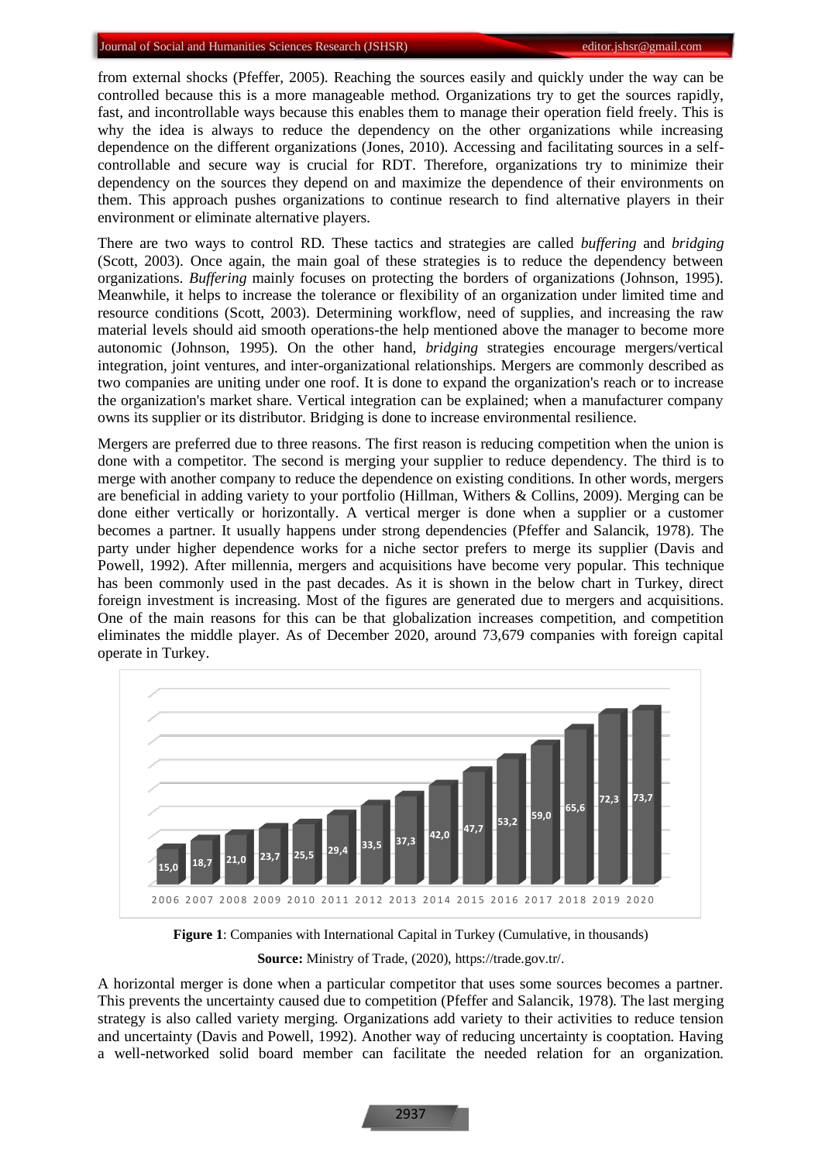from external shocks (Pfeffer, 2005). Reaching the sources easily and quickly under the way can be controlled because this is a more manageable method. Organizations try to get the sources rapidly, fast, and incontrollable ways because this enables them to manage their operation field freely. This is why the idea is always to reduce the dependency on the other organizations while increasing dependence on the different organizations (Jones, 2010). Accessing and facilitating sources in a selfcontrollable and secure way is crucial for RDT. Therefore, organizations try to minimize their dependency on the sources they depend on and maximize the dependence of their environments on them. This approach pushes organizations to continue research to find alternative players in their environment or eliminate alternative players.

There are two ways to control RD. These tactics and strategies are called *buffering* and *bridging* (Scott, 2003). Once again, the main goal of these strategies is to reduce the dependency between organizations. *Buffering* mainly focuses on protecting the borders of organizations (Johnson, 1995). Meanwhile, it helps to increase the tolerance or flexibility of an organization under limited time and resource conditions (Scott, 2003). Determining workflow, need of supplies, and increasing the raw material levels should aid smooth operations-the help mentioned above the manager to become more autonomic (Johnson, 1995). On the other hand, *bridging* strategies encourage mergers/vertical integration, joint ventures, and inter-organizational relationships. Mergers are commonly described as two companies are uniting under one roof. It is done to expand the organization's reach or to increase the organization's market share. Vertical integration can be explained; when a manufacturer company owns its supplier or its distributor. Bridging is done to increase environmental resilience.

Mergers are preferred due to three reasons. The first reason is reducing competition when the union is done with a competitor. The second is merging your supplier to reduce dependency. The third is to merge with another company to reduce the dependence on existing conditions. In other words, mergers are beneficial in adding variety to your portfolio (Hillman, Withers & Collins, 2009). Merging can be done either vertically or horizontally. A vertical merger is done when a supplier or a customer becomes a partner. It usually happens under strong dependencies (Pfeffer and Salancik, 1978). The party under higher dependence works for a niche sector prefers to merge its supplier (Davis and Powell, 1992). After millennia, mergers and acquisitions have become very popular. This technique has been commonly used in the past decades. As it is shown in the below chart in Turkey, direct foreign investment is increasing. Most of the figures are generated due to mergers and acquisitions. One of the main reasons for this can be that globalization increases competition, and competition eliminates the middle player. As of December 2020, around 73,679 companies with foreign capital operate in Turkey.



**Figure 1**: Companies with International Capital in Turkey (Cumulative, in thousands)

**Source:** Ministry of Trade, (2020), https://trade.gov.tr/.

A horizontal merger is done when a particular competitor that uses some sources becomes a partner. This prevents the uncertainty caused due to competition (Pfeffer and Salancik, 1978). The last merging strategy is also called variety merging. Organizations add variety to their activities to reduce tension and uncertainty (Davis and Powell, 1992). Another way of reducing uncertainty is cooptation. Having a well-networked solid board member can facilitate the needed relation for an organization.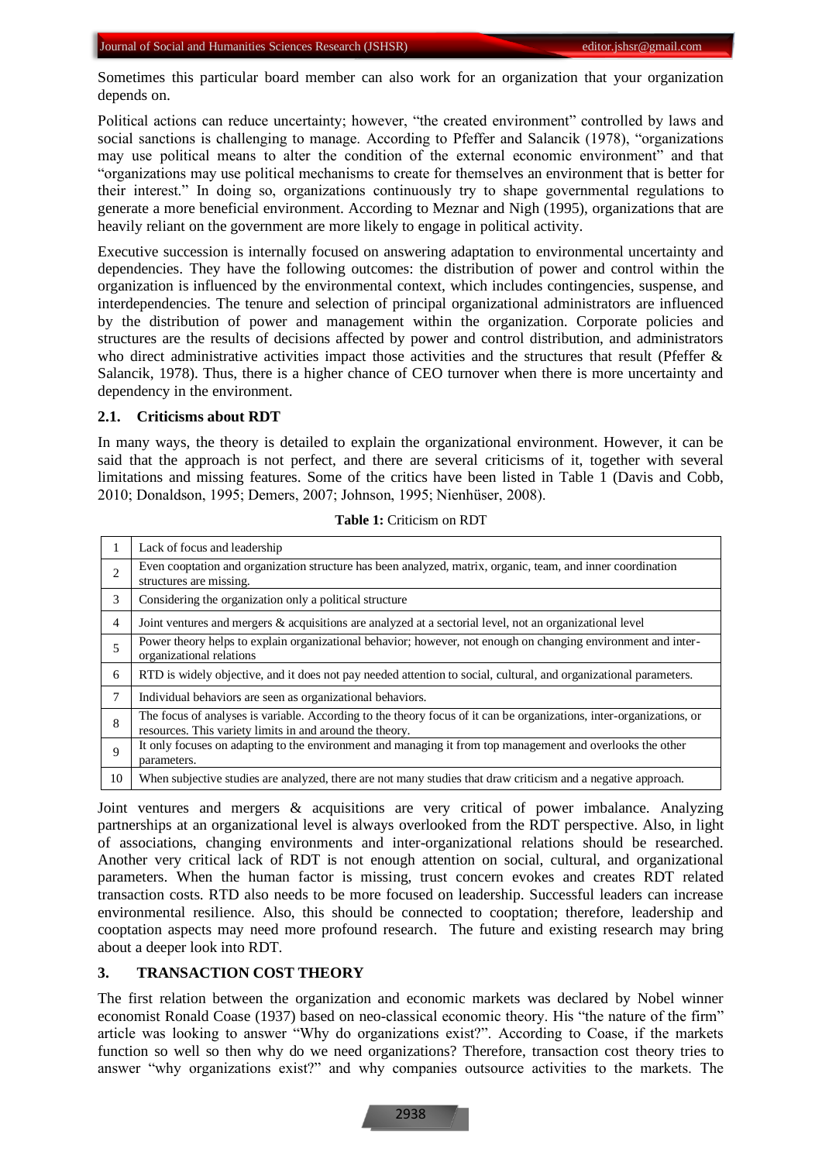Sometimes this particular board member can also work for an organization that your organization depends on.

Political actions can reduce uncertainty; however, "the created environment" controlled by laws and social sanctions is challenging to manage. According to Pfeffer and Salancik (1978), "organizations may use political means to alter the condition of the external economic environment" and that "organizations may use political mechanisms to create for themselves an environment that is better for their interest." In doing so, organizations continuously try to shape governmental regulations to generate a more beneficial environment. According to Meznar and Nigh (1995), organizations that are heavily reliant on the government are more likely to engage in political activity.

Executive succession is internally focused on answering adaptation to environmental uncertainty and dependencies. They have the following outcomes: the distribution of power and control within the organization is influenced by the environmental context, which includes contingencies, suspense, and interdependencies. The tenure and selection of principal organizational administrators are influenced by the distribution of power and management within the organization. Corporate policies and structures are the results of decisions affected by power and control distribution, and administrators who direct administrative activities impact those activities and the structures that result (Pfeffer  $\&$ Salancik, 1978). Thus, there is a higher chance of CEO turnover when there is more uncertainty and dependency in the environment.

## **2.1. Criticisms about RDT**

In many ways, the theory is detailed to explain the organizational environment. However, it can be said that the approach is not perfect, and there are several criticisms of it, together with several limitations and missing features. Some of the critics have been listed in Table 1 (Davis and Cobb, 2010; Donaldson, 1995; Demers, 2007; Johnson, 1995; Nienhüser, 2008).

| 1              | Lack of focus and leadership                                                                                                                                                     |
|----------------|----------------------------------------------------------------------------------------------------------------------------------------------------------------------------------|
| $\overline{2}$ | Even cooptation and organization structure has been analyzed, matrix, organic, team, and inner coordination<br>structures are missing.                                           |
| 3              | Considering the organization only a political structure                                                                                                                          |
| 4              | Joint ventures and mergers & acquisitions are analyzed at a sectorial level, not an organizational level                                                                         |
| 5              | Power theory helps to explain organizational behavior; however, not enough on changing environment and inter-<br>organizational relations                                        |
| 6              | RTD is widely objective, and it does not pay needed attention to social, cultural, and organizational parameters.                                                                |
| 7              | Individual behaviors are seen as organizational behaviors.                                                                                                                       |
| 8              | The focus of analyses is variable. According to the theory focus of it can be organizations, inter-organizations, or<br>resources. This variety limits in and around the theory. |
| 9              | It only focuses on adapting to the environment and managing it from top management and overlooks the other<br>parameters.                                                        |
| 10             | When subjective studies are analyzed, there are not many studies that draw criticism and a negative approach.                                                                    |

**Table 1:** Criticism on RDT

Joint ventures and mergers & acquisitions are very critical of power imbalance. Analyzing partnerships at an organizational level is always overlooked from the RDT perspective. Also, in light of associations, changing environments and inter-organizational relations should be researched. Another very critical lack of RDT is not enough attention on social, cultural, and organizational parameters. When the human factor is missing, trust concern evokes and creates RDT related transaction costs. RTD also needs to be more focused on leadership. Successful leaders can increase environmental resilience. Also, this should be connected to cooptation; therefore, leadership and cooptation aspects may need more profound research. The future and existing research may bring about a deeper look into RDT.

# **3. TRANSACTION COST THEORY**

The first relation between the organization and economic markets was declared by Nobel winner economist Ronald Coase (1937) based on neo-classical economic theory. His "the nature of the firm" article was looking to answer "Why do organizations exist?". According to Coase, if the markets function so well so then why do we need organizations? Therefore, transaction cost theory tries to answer "why organizations exist?" and why companies outsource activities to the markets. The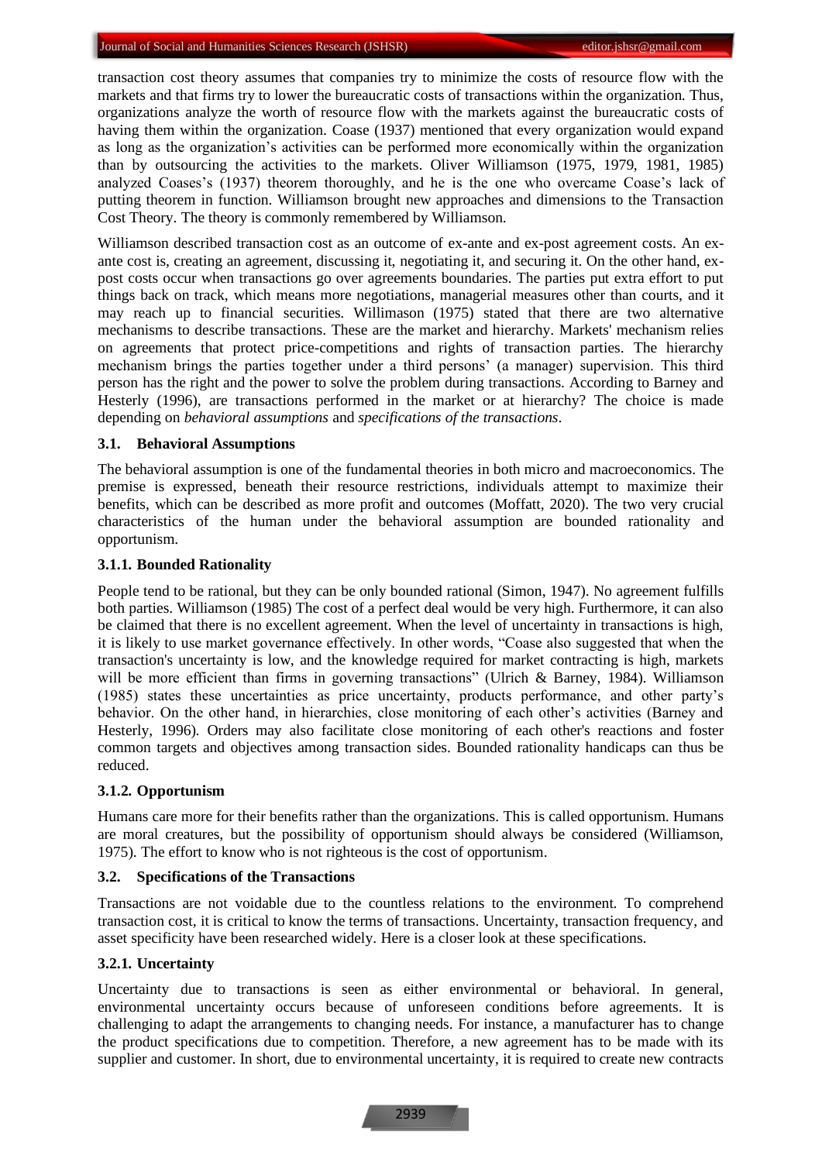transaction cost theory assumes that companies try to minimize the costs of resource flow with the markets and that firms try to lower the bureaucratic costs of transactions within the organization. Thus, organizations analyze the worth of resource flow with the markets against the bureaucratic costs of having them within the organization. Coase (1937) mentioned that every organization would expand as long as the organization's activities can be performed more economically within the organization than by outsourcing the activities to the markets. Oliver Williamson (1975, 1979, 1981, 1985) analyzed Coases's (1937) theorem thoroughly, and he is the one who overcame Coase's lack of putting theorem in function. Williamson brought new approaches and dimensions to the Transaction Cost Theory. The theory is commonly remembered by Williamson.

Williamson described transaction cost as an outcome of ex-ante and ex-post agreement costs. An exante cost is, creating an agreement, discussing it, negotiating it, and securing it. On the other hand, expost costs occur when transactions go over agreements boundaries. The parties put extra effort to put things back on track, which means more negotiations, managerial measures other than courts, and it may reach up to financial securities. Willimason (1975) stated that there are two alternative mechanisms to describe transactions. These are the market and hierarchy. Markets' mechanism relies on agreements that protect price-competitions and rights of transaction parties. The hierarchy mechanism brings the parties together under a third persons' (a manager) supervision. This third person has the right and the power to solve the problem during transactions. According to Barney and Hesterly (1996), are transactions performed in the market or at hierarchy? The choice is made depending on *behavioral assumptions* and *specifications of the transactions*.

#### **3.1. Behavioral Assumptions**

The behavioral assumption is one of the fundamental theories in both micro and macroeconomics. The premise is expressed, beneath their resource restrictions, individuals attempt to maximize their benefits, which can be described as more profit and outcomes (Moffatt, 2020). The two very crucial characteristics of the human under the behavioral assumption are bounded rationality and opportunism.

#### **3.1.1. Bounded Rationality**

People tend to be rational, but they can be only bounded rational (Simon, 1947). No agreement fulfills both parties. Williamson (1985) The cost of a perfect deal would be very high. Furthermore, it can also be claimed that there is no excellent agreement. When the level of uncertainty in transactions is high, it is likely to use market governance effectively. In other words, "Coase also suggested that when the transaction's uncertainty is low, and the knowledge required for market contracting is high, markets will be more efficient than firms in governing transactions" (Ulrich & Barney, 1984). Williamson (1985) states these uncertainties as price uncertainty, products performance, and other party's behavior. On the other hand, in hierarchies, close monitoring of each other's activities (Barney and Hesterly, 1996). Orders may also facilitate close monitoring of each other's reactions and foster common targets and objectives among transaction sides. Bounded rationality handicaps can thus be reduced.

## **3.1.2. Opportunism**

Humans care more for their benefits rather than the organizations. This is called opportunism. Humans are moral creatures, but the possibility of opportunism should always be considered (Williamson, 1975). The effort to know who is not righteous is the cost of opportunism.

#### **3.2. Specifications of the Transactions**

Transactions are not voidable due to the countless relations to the environment. To comprehend transaction cost, it is critical to know the terms of transactions. Uncertainty, transaction frequency, and asset specificity have been researched widely. Here is a closer look at these specifications.

#### **3.2.1. Uncertainty**

Uncertainty due to transactions is seen as either environmental or behavioral. In general, environmental uncertainty occurs because of unforeseen conditions before agreements. It is challenging to adapt the arrangements to changing needs. For instance, a manufacturer has to change the product specifications due to competition. Therefore, a new agreement has to be made with its supplier and customer. In short, due to environmental uncertainty, it is required to create new contracts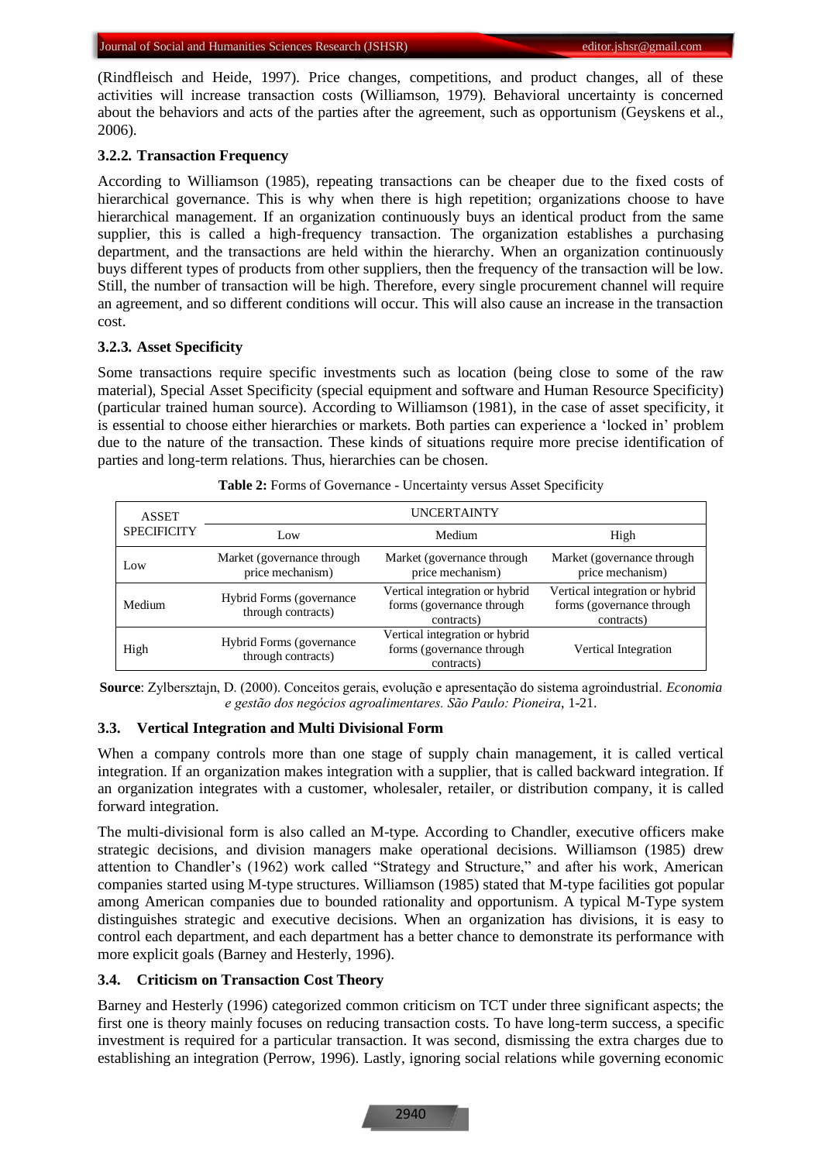(Rindfleisch and Heide, 1997). Price changes, competitions, and product changes, all of these activities will increase transaction costs (Williamson, 1979). Behavioral uncertainty is concerned about the behaviors and acts of the parties after the agreement, such as opportunism (Geyskens et al., 2006).

#### **3.2.2. Transaction Frequency**

According to Williamson (1985), repeating transactions can be cheaper due to the fixed costs of hierarchical governance. This is why when there is high repetition; organizations choose to have hierarchical management. If an organization continuously buys an identical product from the same supplier, this is called a high-frequency transaction. The organization establishes a purchasing department, and the transactions are held within the hierarchy. When an organization continuously buys different types of products from other suppliers, then the frequency of the transaction will be low. Still, the number of transaction will be high. Therefore, every single procurement channel will require an agreement, and so different conditions will occur. This will also cause an increase in the transaction cost.

# **3.2.3. Asset Specificity**

Some transactions require specific investments such as location (being close to some of the raw material), Special Asset Specificity (special equipment and software and Human Resource Specificity) (particular trained human source). According to Williamson (1981), in the case of asset specificity, it is essential to choose either hierarchies or markets. Both parties can experience a 'locked in' problem due to the nature of the transaction. These kinds of situations require more precise identification of parties and long-term relations. Thus, hierarchies can be chosen.

| <b>ASSET</b>       | <b>UNCERTAINTY</b>                              |                                                                            |                                                                           |  |  |  |  |  |  |
|--------------------|-------------------------------------------------|----------------------------------------------------------------------------|---------------------------------------------------------------------------|--|--|--|--|--|--|
| <b>SPECIFICITY</b> | Low                                             | Medium                                                                     | High                                                                      |  |  |  |  |  |  |
| Low                | Market (governance through<br>price mechanism)  | Market (governance through<br>price mechanism)                             | Market (governance through<br>price mechanism)                            |  |  |  |  |  |  |
| Medium             | Hybrid Forms (governance)<br>through contracts) | Vertical integration or hybrid<br>forms (governance through<br>contracts)  | Vertical integration or hybrid<br>forms (governance through<br>contracts) |  |  |  |  |  |  |
| High               | Hybrid Forms (governance)<br>through contracts) | Vertical integration or hybrid<br>forms (governance through)<br>contracts) | Vertical Integration                                                      |  |  |  |  |  |  |

|  | Table 2: Forms of Governance - Uncertainty versus Asset Specificity |  |  |  |
|--|---------------------------------------------------------------------|--|--|--|
|  |                                                                     |  |  |  |

**Source**: Zylbersztajn, D. (2000). Conceitos gerais, evolução e apresentação do sistema agroindustrial. *Economia e gestão dos negócios agroalimentares. São Paulo: Pioneira*, 1-21.

# **3.3. Vertical Integration and Multi Divisional Form**

When a company controls more than one stage of supply chain management, it is called vertical integration. If an organization makes integration with a supplier, that is called backward integration. If an organization integrates with a customer, wholesaler, retailer, or distribution company, it is called forward integration.

The multi-divisional form is also called an M-type. According to Chandler, executive officers make strategic decisions, and division managers make operational decisions. Williamson (1985) drew attention to Chandler's (1962) work called "Strategy and Structure," and after his work, American companies started using M-type structures. Williamson (1985) stated that M-type facilities got popular among American companies due to bounded rationality and opportunism. A typical M-Type system distinguishes strategic and executive decisions. When an organization has divisions, it is easy to control each department, and each department has a better chance to demonstrate its performance with more explicit goals (Barney and Hesterly, 1996).

#### **3.4. Criticism on Transaction Cost Theory**

Barney and Hesterly (1996) categorized common criticism on TCT under three significant aspects; the first one is theory mainly focuses on reducing transaction costs. To have long-term success, a specific investment is required for a particular transaction. It was second, dismissing the extra charges due to establishing an integration (Perrow, 1996). Lastly, ignoring social relations while governing economic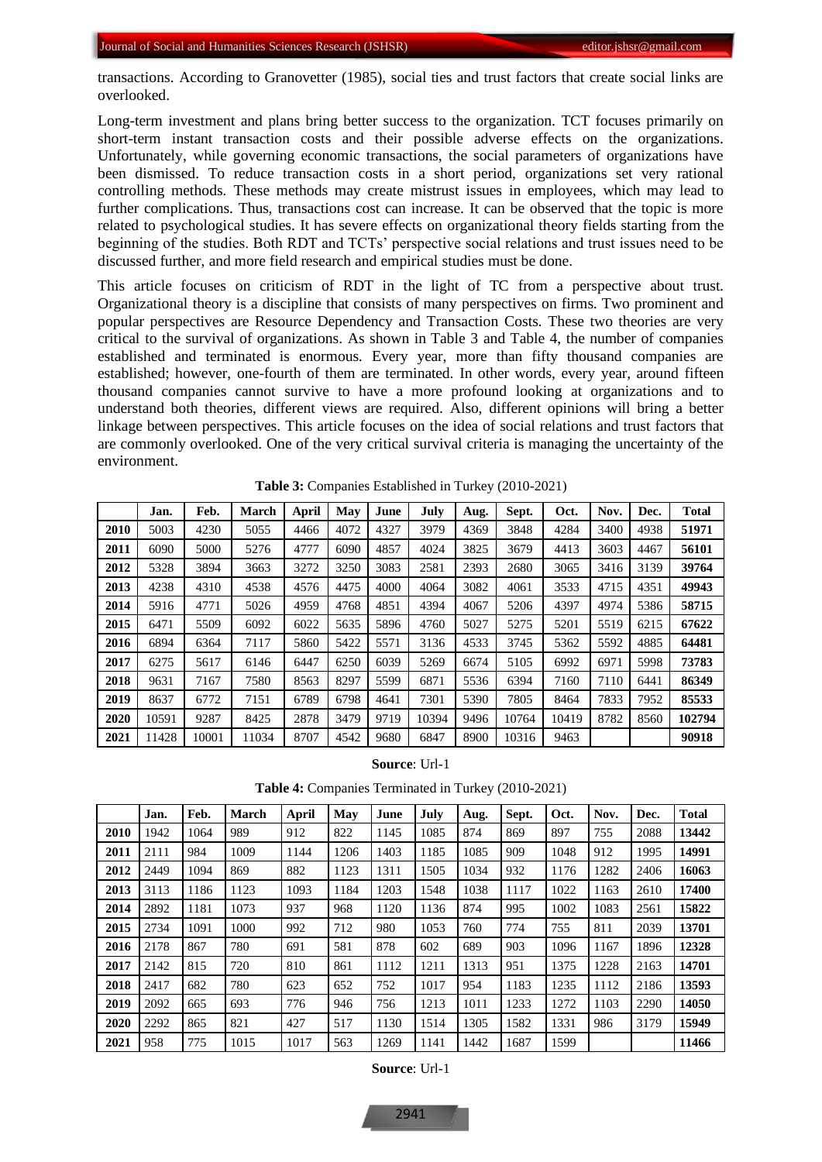transactions. According to Granovetter (1985), social ties and trust factors that create social links are overlooked.

Long-term investment and plans bring better success to the organization. TCT focuses primarily on short-term instant transaction costs and their possible adverse effects on the organizations. Unfortunately, while governing economic transactions, the social parameters of organizations have been dismissed. To reduce transaction costs in a short period, organizations set very rational controlling methods. These methods may create mistrust issues in employees, which may lead to further complications. Thus, transactions cost can increase. It can be observed that the topic is more related to psychological studies. It has severe effects on organizational theory fields starting from the beginning of the studies. Both RDT and TCTs' perspective social relations and trust issues need to be discussed further, and more field research and empirical studies must be done.

This article focuses on criticism of RDT in the light of TC from a perspective about trust. Organizational theory is a discipline that consists of many perspectives on firms. Two prominent and popular perspectives are Resource Dependency and Transaction Costs. These two theories are very critical to the survival of organizations. As shown in Table 3 and Table 4, the number of companies established and terminated is enormous. Every year, more than fifty thousand companies are established; however, one-fourth of them are terminated. In other words, every year, around fifteen thousand companies cannot survive to have a more profound looking at organizations and to understand both theories, different views are required. Also, different opinions will bring a better linkage between perspectives. This article focuses on the idea of social relations and trust factors that are commonly overlooked. One of the very critical survival criteria is managing the uncertainty of the environment.

|      | Jan.  | Feb.  | <b>March</b> | <b>April</b> | May  | June | July  | Aug. | Sept. | Oct.  | Nov. | Dec. | Total  |
|------|-------|-------|--------------|--------------|------|------|-------|------|-------|-------|------|------|--------|
| 2010 | 5003  | 4230  | 5055         | 4466         | 4072 | 4327 | 3979  | 4369 | 3848  | 4284  | 3400 | 4938 | 51971  |
| 2011 | 6090  | 5000  | 5276         | 4777         | 6090 | 4857 | 4024  | 3825 | 3679  | 4413  | 3603 | 4467 | 56101  |
| 2012 | 5328  | 3894  | 3663         | 3272         | 3250 | 3083 | 2581  | 2393 | 2680  | 3065  | 3416 | 3139 | 39764  |
| 2013 | 4238  | 4310  | 4538         | 4576         | 4475 | 4000 | 4064  | 3082 | 4061  | 3533  | 4715 | 4351 | 49943  |
| 2014 | 5916  | 4771  | 5026         | 4959         | 4768 | 4851 | 4394  | 4067 | 5206  | 4397  | 4974 | 5386 | 58715  |
| 2015 | 6471  | 5509  | 6092         | 6022         | 5635 | 5896 | 4760  | 5027 | 5275  | 5201  | 5519 | 6215 | 67622  |
| 2016 | 6894  | 6364  | 7117         | 5860         | 5422 | 5571 | 3136  | 4533 | 3745  | 5362  | 5592 | 4885 | 64481  |
| 2017 | 6275  | 5617  | 6146         | 6447         | 6250 | 6039 | 5269  | 6674 | 5105  | 6992  | 6971 | 5998 | 73783  |
| 2018 | 9631  | 7167  | 7580         | 8563         | 8297 | 5599 | 6871  | 5536 | 6394  | 7160  | 7110 | 6441 | 86349  |
| 2019 | 8637  | 6772  | 7151         | 6789         | 6798 | 4641 | 7301  | 5390 | 7805  | 8464  | 7833 | 7952 | 85533  |
| 2020 | 10591 | 9287  | 8425         | 2878         | 3479 | 9719 | 10394 | 9496 | 10764 | 10419 | 8782 | 8560 | 102794 |
| 2021 | 11428 | 10001 | 11034        | 8707         | 4542 | 9680 | 6847  | 8900 | 10316 | 9463  |      |      | 90918  |

**Table 3:** Companies Established in Turkey (2010-2021)

#### **Source**: Url-1

**Table 4:** Companies Terminated in Turkey (2010-2021)

|      | Jan. | Feb. | <b>March</b> | April | May  | June | July | Aug. | Sept. | Oct. | Nov. | Dec. | <b>Total</b> |
|------|------|------|--------------|-------|------|------|------|------|-------|------|------|------|--------------|
| 2010 | 1942 | 1064 | 989          | 912   | 822  | 1145 | 1085 | 874  | 869   | 897  | 755  | 2088 | 13442        |
| 2011 | 2111 | 984  | 1009         | 1144  | 1206 | 1403 | 1185 | 1085 | 909   | 1048 | 912  | 1995 | 14991        |
| 2012 | 2449 | 1094 | 869          | 882   | 1123 | 1311 | 1505 | 1034 | 932   | 1176 | 1282 | 2406 | 16063        |
| 2013 | 3113 | 1186 | 1123         | 1093  | 1184 | 1203 | 1548 | 1038 | 1117  | 1022 | 1163 | 2610 | 17400        |
| 2014 | 2892 | 1181 | 1073         | 937   | 968  | 1120 | 1136 | 874  | 995   | 1002 | 1083 | 2561 | 15822        |
| 2015 | 2734 | 1091 | 1000         | 992   | 712  | 980  | 1053 | 760  | 774   | 755  | 811  | 2039 | 13701        |
| 2016 | 2178 | 867  | 780          | 691   | 581  | 878  | 602  | 689  | 903   | 1096 | 1167 | 1896 | 12328        |
| 2017 | 2142 | 815  | 720          | 810   | 861  | 1112 | 1211 | 1313 | 951   | 1375 | 1228 | 2163 | 14701        |
| 2018 | 2417 | 682  | 780          | 623   | 652  | 752  | 1017 | 954  | 1183  | 1235 | 1112 | 2186 | 13593        |
| 2019 | 2092 | 665  | 693          | 776   | 946  | 756  | 1213 | 1011 | 1233  | 1272 | 1103 | 2290 | 14050        |
| 2020 | 2292 | 865  | 821          | 427   | 517  | 1130 | 1514 | 1305 | 1582  | 1331 | 986  | 3179 | 15949        |
| 2021 | 958  | 775  | 1015         | 1017  | 563  | 1269 | 1141 | 1442 | 1687  | 1599 |      |      | 11466        |

**Source**: Url-1

2941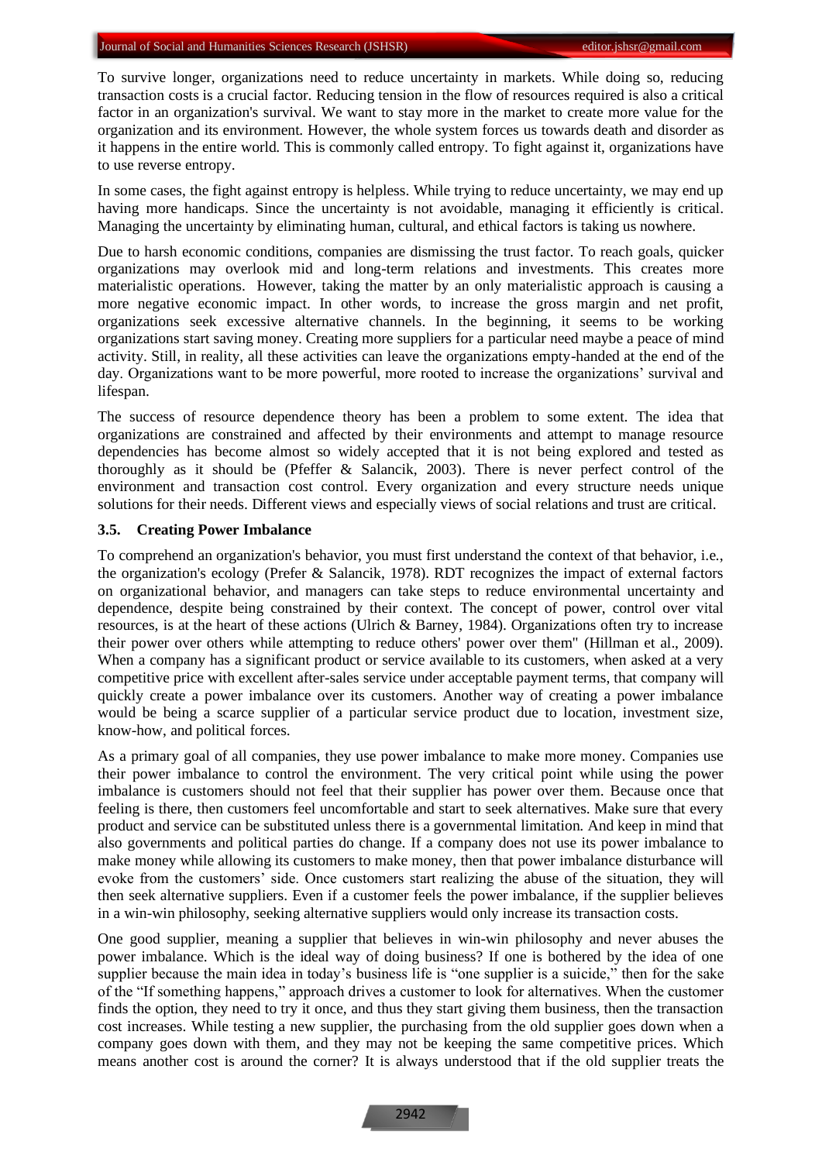To survive longer, organizations need to reduce uncertainty in markets. While doing so, reducing transaction costs is a crucial factor. Reducing tension in the flow of resources required is also a critical factor in an organization's survival. We want to stay more in the market to create more value for the organization and its environment. However, the whole system forces us towards death and disorder as it happens in the entire world. This is commonly called entropy. To fight against it, organizations have to use reverse entropy.

In some cases, the fight against entropy is helpless. While trying to reduce uncertainty, we may end up having more handicaps. Since the uncertainty is not avoidable, managing it efficiently is critical. Managing the uncertainty by eliminating human, cultural, and ethical factors is taking us nowhere.

Due to harsh economic conditions, companies are dismissing the trust factor. To reach goals, quicker organizations may overlook mid and long-term relations and investments. This creates more materialistic operations. However, taking the matter by an only materialistic approach is causing a more negative economic impact. In other words, to increase the gross margin and net profit, organizations seek excessive alternative channels. In the beginning, it seems to be working organizations start saving money. Creating more suppliers for a particular need maybe a peace of mind activity. Still, in reality, all these activities can leave the organizations empty-handed at the end of the day. Organizations want to be more powerful, more rooted to increase the organizations' survival and lifespan.

The success of resource dependence theory has been a problem to some extent. The idea that organizations are constrained and affected by their environments and attempt to manage resource dependencies has become almost so widely accepted that it is not being explored and tested as thoroughly as it should be (Pfeffer & Salancik, 2003). There is never perfect control of the environment and transaction cost control. Every organization and every structure needs unique solutions for their needs. Different views and especially views of social relations and trust are critical.

#### **3.5. Creating Power Imbalance**

To comprehend an organization's behavior, you must first understand the context of that behavior, i.e., the organization's ecology (Prefer & Salancik, 1978). RDT recognizes the impact of external factors on organizational behavior, and managers can take steps to reduce environmental uncertainty and dependence, despite being constrained by their context. The concept of power, control over vital resources, is at the heart of these actions (Ulrich & Barney, 1984). Organizations often try to increase their power over others while attempting to reduce others' power over them" (Hillman et al., 2009). When a company has a significant product or service available to its customers, when asked at a very competitive price with excellent after-sales service under acceptable payment terms, that company will quickly create a power imbalance over its customers. Another way of creating a power imbalance would be being a scarce supplier of a particular service product due to location, investment size, know-how, and political forces.

As a primary goal of all companies, they use power imbalance to make more money. Companies use their power imbalance to control the environment. The very critical point while using the power imbalance is customers should not feel that their supplier has power over them. Because once that feeling is there, then customers feel uncomfortable and start to seek alternatives. Make sure that every product and service can be substituted unless there is a governmental limitation. And keep in mind that also governments and political parties do change. If a company does not use its power imbalance to make money while allowing its customers to make money, then that power imbalance disturbance will evoke from the customers' side. Once customers start realizing the abuse of the situation, they will then seek alternative suppliers. Even if a customer feels the power imbalance, if the supplier believes in a win-win philosophy, seeking alternative suppliers would only increase its transaction costs.

One good supplier, meaning a supplier that believes in win-win philosophy and never abuses the power imbalance. Which is the ideal way of doing business? If one is bothered by the idea of one supplier because the main idea in today's business life is "one supplier is a suicide," then for the sake of the "If something happens," approach drives a customer to look for alternatives. When the customer finds the option, they need to try it once, and thus they start giving them business, then the transaction cost increases. While testing a new supplier, the purchasing from the old supplier goes down when a company goes down with them, and they may not be keeping the same competitive prices. Which means another cost is around the corner? It is always understood that if the old supplier treats the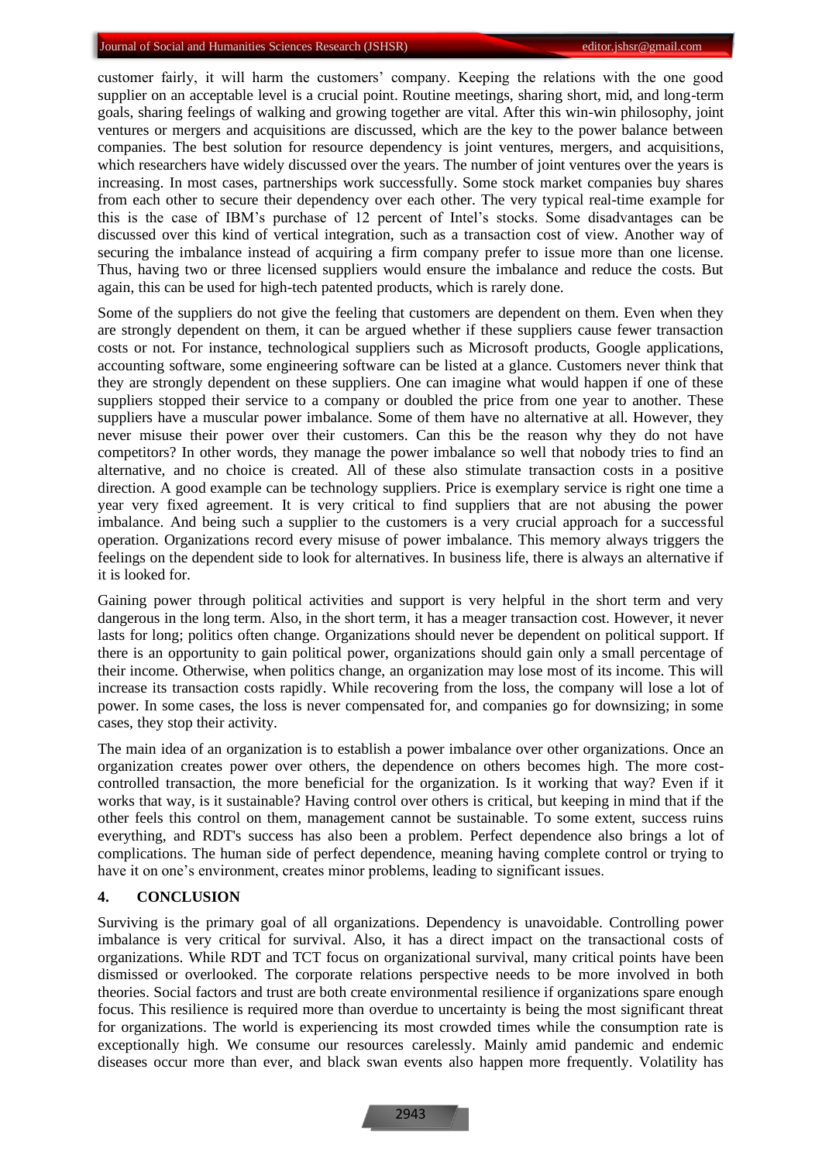customer fairly, it will harm the customers' company. Keeping the relations with the one good supplier on an acceptable level is a crucial point. Routine meetings, sharing short, mid, and long-term goals, sharing feelings of walking and growing together are vital. After this win-win philosophy, joint ventures or mergers and acquisitions are discussed, which are the key to the power balance between companies. The best solution for resource dependency is joint ventures, mergers, and acquisitions, which researchers have widely discussed over the years. The number of joint ventures over the years is increasing. In most cases, partnerships work successfully. Some stock market companies buy shares from each other to secure their dependency over each other. The very typical real-time example for this is the case of IBM's purchase of 12 percent of Intel's stocks. Some disadvantages can be discussed over this kind of vertical integration, such as a transaction cost of view. Another way of securing the imbalance instead of acquiring a firm company prefer to issue more than one license. Thus, having two or three licensed suppliers would ensure the imbalance and reduce the costs. But again, this can be used for high-tech patented products, which is rarely done.

Some of the suppliers do not give the feeling that customers are dependent on them. Even when they are strongly dependent on them, it can be argued whether if these suppliers cause fewer transaction costs or not. For instance, technological suppliers such as Microsoft products, Google applications, accounting software, some engineering software can be listed at a glance. Customers never think that they are strongly dependent on these suppliers. One can imagine what would happen if one of these suppliers stopped their service to a company or doubled the price from one year to another. These suppliers have a muscular power imbalance. Some of them have no alternative at all. However, they never misuse their power over their customers. Can this be the reason why they do not have competitors? In other words, they manage the power imbalance so well that nobody tries to find an alternative, and no choice is created. All of these also stimulate transaction costs in a positive direction. A good example can be technology suppliers. Price is exemplary service is right one time a year very fixed agreement. It is very critical to find suppliers that are not abusing the power imbalance. And being such a supplier to the customers is a very crucial approach for a successful operation. Organizations record every misuse of power imbalance. This memory always triggers the feelings on the dependent side to look for alternatives. In business life, there is always an alternative if it is looked for.

Gaining power through political activities and support is very helpful in the short term and very dangerous in the long term. Also, in the short term, it has a meager transaction cost. However, it never lasts for long; politics often change. Organizations should never be dependent on political support. If there is an opportunity to gain political power, organizations should gain only a small percentage of their income. Otherwise, when politics change, an organization may lose most of its income. This will increase its transaction costs rapidly. While recovering from the loss, the company will lose a lot of power. In some cases, the loss is never compensated for, and companies go for downsizing; in some cases, they stop their activity.

The main idea of an organization is to establish a power imbalance over other organizations. Once an organization creates power over others, the dependence on others becomes high. The more costcontrolled transaction, the more beneficial for the organization. Is it working that way? Even if it works that way, is it sustainable? Having control over others is critical, but keeping in mind that if the other feels this control on them, management cannot be sustainable. To some extent, success ruins everything, and RDT's success has also been a problem. Perfect dependence also brings a lot of complications. The human side of perfect dependence, meaning having complete control or trying to have it on one's environment, creates minor problems, leading to significant issues.

# **4. CONCLUSION**

Surviving is the primary goal of all organizations. Dependency is unavoidable. Controlling power imbalance is very critical for survival. Also, it has a direct impact on the transactional costs of organizations. While RDT and TCT focus on organizational survival, many critical points have been dismissed or overlooked. The corporate relations perspective needs to be more involved in both theories. Social factors and trust are both create environmental resilience if organizations spare enough focus. This resilience is required more than overdue to uncertainty is being the most significant threat for organizations. The world is experiencing its most crowded times while the consumption rate is exceptionally high. We consume our resources carelessly. Mainly amid pandemic and endemic diseases occur more than ever, and black swan events also happen more frequently. Volatility has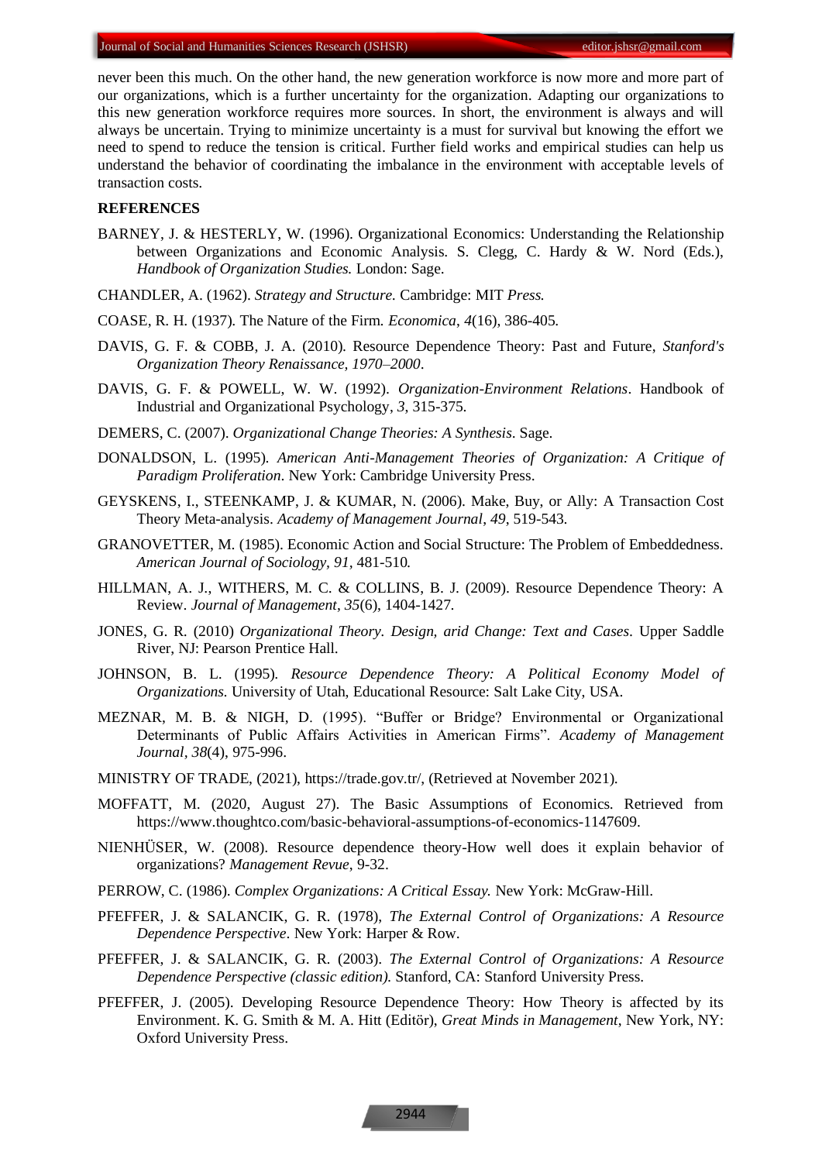never been this much. On the other hand, the new generation workforce is now more and more part of our organizations, which is a further uncertainty for the organization. Adapting our organizations to this new generation workforce requires more sources. In short, the environment is always and will always be uncertain. Trying to minimize uncertainty is a must for survival but knowing the effort we need to spend to reduce the tension is critical. Further field works and empirical studies can help us understand the behavior of coordinating the imbalance in the environment with acceptable levels of transaction costs.

#### **REFERENCES**

- BARNEY, J. & HESTERLY, W. (1996). Organizational Economics: Understanding the Relationship between Organizations and Economic Analysis. S. Clegg, C. Hardy & W. Nord (Eds.), *Handbook of Organization Studies.* London: Sage.
- CHANDLER, A. (1962). *Strategy and Structure.* Cambridge: MIT *Press.*
- COASE, R. H. (1937). The Nature of the Firm. *Economica*, *4*(16), 386-405.
- DAVIS, G. F. & COBB, J. A. (2010). Resource Dependence Theory: Past and Future, *Stanford's Organization Theory Renaissance, 1970–2000*.
- DAVIS, G. F. & POWELL, W. W. (1992). *Organization-Environment Relations*. Handbook of Industrial and Organizational Psychology, *3*, 315-375.
- DEMERS, C. (2007). *Organizational Change Theories: A Synthesis*. Sage.
- DONALDSON, L. (1995). *American Anti-Management Theories of Organization: A Critique of Paradigm Proliferation*. New York: Cambridge University Press.
- GEYSKENS, I., STEENKAMP, J. & KUMAR, N. (2006). Make, Buy, or Ally: A Transaction Cost Theory Meta-analysis. *Academy of Management Journal*, *49*, 519-543.
- GRANOVETTER, M. (1985). Economic Action and Social Structure: The Problem of Embeddedness. *American Journal of Sociology, 91,* 481-510*.*
- HILLMAN, A. J., WITHERS, M. C. & COLLINS, B. J. (2009). Resource Dependence Theory: A Review. *Journal of Management*, *35*(6), 1404-1427.
- JONES, G. R. (2010) *Organizational Theory. Design, arid Change: Text and Cases.* Upper Saddle River, NJ: Pearson Prentice Hall.
- JOHNSON, B. L. (1995). *Resource Dependence Theory: A Political Economy Model of Organizations.* University of Utah, Educational Resource: Salt Lake City, USA.
- MEZNAR, M. B. & NIGH, D. (1995). "Buffer or Bridge? Environmental or Organizational Determinants of Public Affairs Activities in American Firms". *Academy of Management Journal, 38*(4), 975-996.
- MINISTRY OF TRADE, (2021), https://trade.gov.tr/, (Retrieved at November 2021).
- MOFFATT, M. (2020, August 27). The Basic Assumptions of Economics. Retrieved from https://www.thoughtco.com/basic-behavioral-assumptions-of-economics-1147609.
- NIENHÜSER, W. (2008). Resource dependence theory-How well does it explain behavior of organizations? *Management Revue*, 9-32.
- PERROW, C. (1986). *Complex Organizations: A Critical Essay.* New York: McGraw-Hill.
- PFEFFER, J. & SALANCIK, G. R. (1978), *The External Control of Organizations: A Resource Dependence Perspective*. New York: Harper & Row.
- PFEFFER, J. & SALANCIK, G. R. (2003). *The External Control of Organizations: A Resource Dependence Perspective (classic edition).* Stanford, CA: Stanford University Press.
- PFEFFER, J. (2005). Developing Resource Dependence Theory: How Theory is affected by its Environment. K. G. Smith & M. A. Hitt (Editör), *Great Minds in Management*, New York, NY: Oxford University Press.